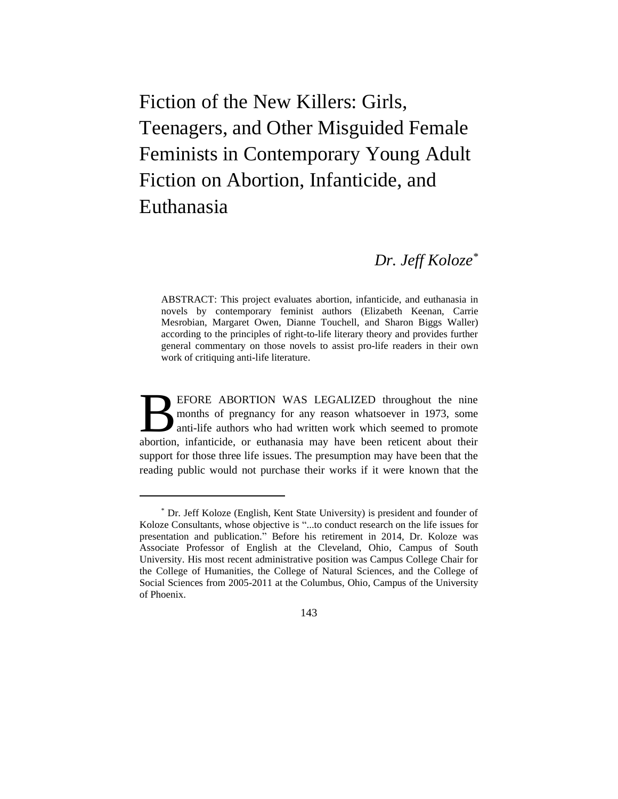Fiction of the New Killers: Girls, Teenagers, and Other Misguided Female Feminists in Contemporary Young Adult Fiction on Abortion, Infanticide, and Euthanasia

# *Dr. Jeff Koloze\**

ABSTRACT: This project evaluates abortion, infanticide, and euthanasia in novels by contemporary feminist authors (Elizabeth Keenan, Carrie Mesrobian, Margaret Owen, Dianne Touchell, and Sharon Biggs Waller) according to the principles of right-to-life literary theory and provides further general commentary on those novels to assist pro-life readers in their own work of critiquing anti-life literature.

EFORE ABORTION WAS LEGALIZED throughout the nine months of pregnancy for any reason whatsoever in 1973, some anti-life authors who had written work which seemed to promote **BEFORE ABORTION WAS LEGALIZED throughout the nine** months of pregnancy for any reason whatsoever in 1973, some anti-life authors who had written work which seemed to promote abortion, infanticide, or euthanasia may have b support for those three life issues. The presumption may have been that the reading public would not purchase their works if it were known that the

143

<sup>\*</sup> Dr. Jeff Koloze (English, Kent State University) is president and founder of Koloze Consultants, whose objective is "...to conduct research on the life issues for presentation and publication." Before his retirement in 2014, Dr. Koloze was Associate Professor of English at the Cleveland, Ohio, Campus of South University. His most recent administrative position was Campus College Chair for the College of Humanities, the College of Natural Sciences, and the College of Social Sciences from 2005-2011 at the Columbus, Ohio, Campus of the University of Phoenix.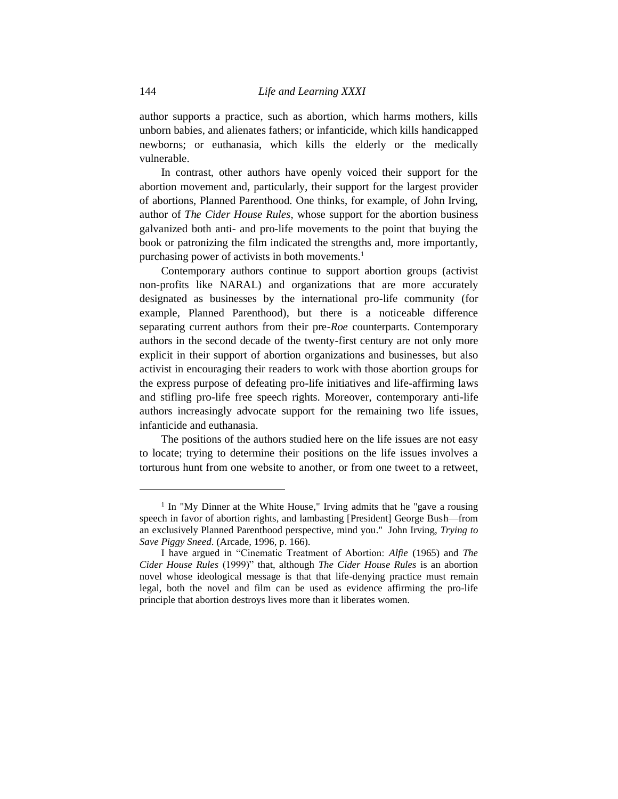author supports a practice, such as abortion, which harms mothers, kills unborn babies, and alienates fathers; or infanticide, which kills handicapped newborns; or euthanasia, which kills the elderly or the medically vulnerable.

In contrast, other authors have openly voiced their support for the abortion movement and, particularly, their support for the largest provider of abortions, Planned Parenthood. One thinks, for example, of John Irving, author of *The Cider House Rules*, whose support for the abortion business galvanized both anti- and pro-life movements to the point that buying the book or patronizing the film indicated the strengths and, more importantly, purchasing power of activists in both movements.<sup>1</sup>

Contemporary authors continue to support abortion groups (activist non-profits like NARAL) and organizations that are more accurately designated as businesses by the international pro-life community (for example, Planned Parenthood), but there is a noticeable difference separating current authors from their pre-*Roe* counterparts. Contemporary authors in the second decade of the twenty-first century are not only more explicit in their support of abortion organizations and businesses, but also activist in encouraging their readers to work with those abortion groups for the express purpose of defeating pro-life initiatives and life-affirming laws and stifling pro-life free speech rights. Moreover, contemporary anti-life authors increasingly advocate support for the remaining two life issues, infanticide and euthanasia.

The positions of the authors studied here on the life issues are not easy to locate; trying to determine their positions on the life issues involves a torturous hunt from one website to another, or from one tweet to a retweet,

<sup>&</sup>lt;sup>1</sup> In "My Dinner at the White House," Irving admits that he "gave a rousing speech in favor of abortion rights, and lambasting [President] George Bush—from an exclusively Planned Parenthood perspective, mind you." John Irving, *Trying to Save Piggy Sneed*. (Arcade, 1996, p. 166).

I have argued in "Cinematic Treatment of Abortion: *Alfie* (1965) and *The Cider House Rules* (1999)" that, although *The Cider House Rules* is an abortion novel whose ideological message is that that life-denying practice must remain legal, both the novel and film can be used as evidence affirming the pro-life principle that abortion destroys lives more than it liberates women.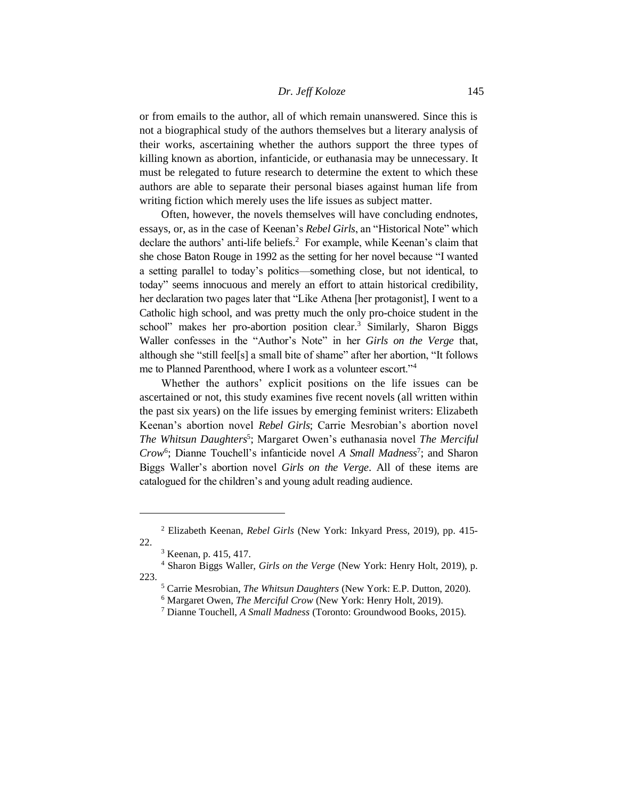or from emails to the author, all of which remain unanswered. Since this is not a biographical study of the authors themselves but a literary analysis of their works, ascertaining whether the authors support the three types of killing known as abortion, infanticide, or euthanasia may be unnecessary. It must be relegated to future research to determine the extent to which these authors are able to separate their personal biases against human life from writing fiction which merely uses the life issues as subject matter.

Often, however, the novels themselves will have concluding endnotes, essays, or, as in the case of Keenan's *Rebel Girls*, an "Historical Note" which declare the authors' anti-life beliefs.<sup>2</sup> For example, while Keenan's claim that she chose Baton Rouge in 1992 as the setting for her novel because "I wanted a setting parallel to today's politics—something close, but not identical, to today" seems innocuous and merely an effort to attain historical credibility, her declaration two pages later that "Like Athena [her protagonist], I went to a Catholic high school, and was pretty much the only pro-choice student in the school" makes her pro-abortion position clear.<sup>3</sup> Similarly, Sharon Biggs Waller confesses in the "Author's Note" in her *Girls on the Verge* that, although she "still feel[s] a small bite of shame" after her abortion, "It follows me to Planned Parenthood, where I work as a volunteer escort."<sup>4</sup>

Whether the authors' explicit positions on the life issues can be ascertained or not, this study examines five recent novels (all written within the past six years) on the life issues by emerging feminist writers: Elizabeth Keenan's abortion novel *Rebel Girls*; Carrie Mesrobian's abortion novel The Whitsun Daughters<sup>5</sup>; Margaret Owen's euthanasia novel *The Merciful* Crow<sup>6</sup>; Dianne Touchell's infanticide novel *A Small Madness<sup>7</sup>*; and Sharon Biggs Waller's abortion novel *Girls on the Verge*. All of these items are catalogued for the children's and young adult reading audience.

<sup>2</sup> Elizabeth Keenan, *Rebel Girls* (New York: Inkyard Press, 2019), pp. 415- 22.

<sup>3</sup> Keenan, p. 415, 417.

<sup>4</sup> Sharon Biggs Waller, *Girls on the Verge* (New York: Henry Holt, 2019), p. 223.

<sup>5</sup> Carrie Mesrobian, *The Whitsun Daughters* (New York: E.P. Dutton, 2020).

<sup>6</sup> Margaret Owen, *The Merciful Crow* (New York: Henry Holt, 2019).

<sup>7</sup> Dianne Touchell, *A Small Madness* (Toronto: Groundwood Books, 2015).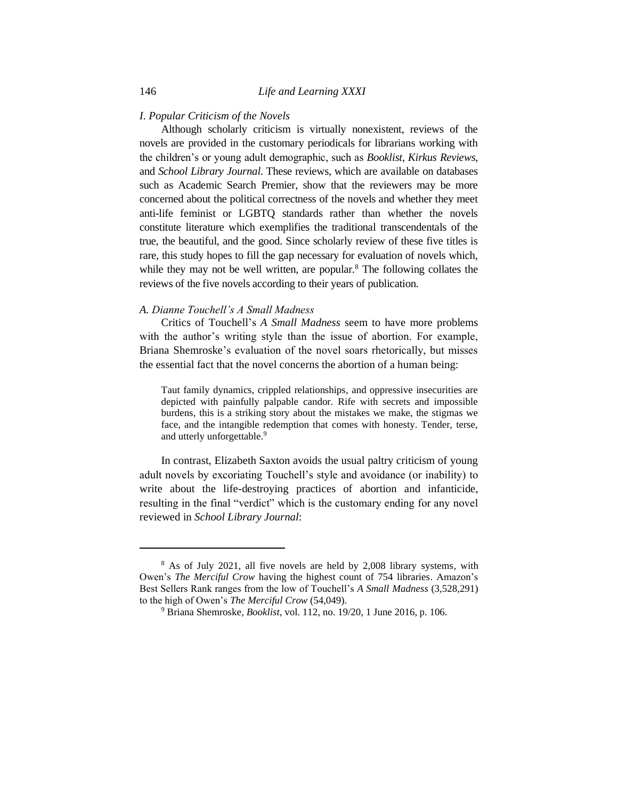## *I. Popular Criticism of the Novels*

Although scholarly criticism is virtually nonexistent, reviews of the novels are provided in the customary periodicals for librarians working with the children's or young adult demographic, such as *Booklist*, *Kirkus Reviews*, and *School Library Journal*. These reviews, which are available on databases such as Academic Search Premier, show that the reviewers may be more concerned about the political correctness of the novels and whether they meet anti-life feminist or LGBTQ standards rather than whether the novels constitute literature which exemplifies the traditional transcendentals of the true, the beautiful, and the good. Since scholarly review of these five titles is rare, this study hopes to fill the gap necessary for evaluation of novels which, while they may not be well written, are popular. $8$  The following collates the reviews of the five novels according to their years of publication.

### *A. Dianne Touchell's A Small Madness*

Critics of Touchell's *A Small Madness* seem to have more problems with the author's writing style than the issue of abortion. For example, Briana Shemroske's evaluation of the novel soars rhetorically, but misses the essential fact that the novel concerns the abortion of a human being:

Taut family dynamics, crippled relationships, and oppressive insecurities are depicted with painfully palpable candor. Rife with secrets and impossible burdens, this is a striking story about the mistakes we make, the stigmas we face, and the intangible redemption that comes with honesty. Tender, terse, and utterly unforgettable.<sup>9</sup>

In contrast, Elizabeth Saxton avoids the usual paltry criticism of young adult novels by excoriating Touchell's style and avoidance (or inability) to write about the life-destroying practices of abortion and infanticide, resulting in the final "verdict" which is the customary ending for any novel reviewed in *School Library Journal*:

<sup>8</sup> As of July 2021, all five novels are held by 2,008 library systems, with Owen's *The Merciful Crow* having the highest count of 754 libraries. Amazon's Best Sellers Rank ranges from the low of Touchell's *A Small Madness* (3,528,291) to the high of Owen's *The Merciful Crow* (54,049).

<sup>9</sup> Briana Shemroske, *Booklist*, vol. 112, no. 19/20, 1 June 2016, p. 106.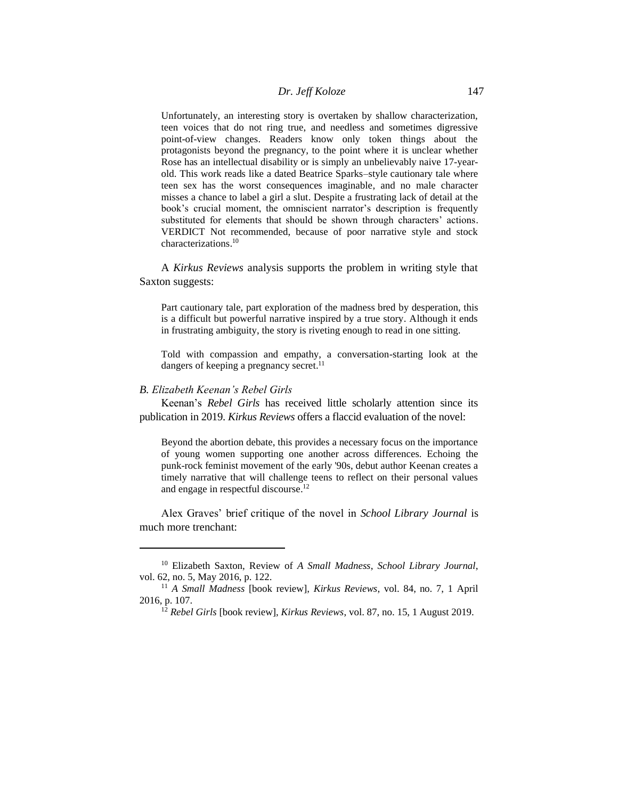Unfortunately, an interesting story is overtaken by shallow characterization, teen voices that do not ring true, and needless and sometimes digressive point-of-view changes. Readers know only token things about the protagonists beyond the pregnancy, to the point where it is unclear whether Rose has an intellectual disability or is simply an unbelievably naive 17-yearold. This work reads like a dated Beatrice Sparks–style cautionary tale where teen sex has the worst consequences imaginable, and no male character misses a chance to label a girl a slut. Despite a frustrating lack of detail at the book's crucial moment, the omniscient narrator's description is frequently substituted for elements that should be shown through characters' actions. VERDICT Not recommended, because of poor narrative style and stock characterizations. 10

A *Kirkus Reviews* analysis supports the problem in writing style that Saxton suggests:

Part cautionary tale, part exploration of the madness bred by desperation, this is a difficult but powerful narrative inspired by a true story. Although it ends in frustrating ambiguity, the story is riveting enough to read in one sitting.

Told with compassion and empathy, a conversation-starting look at the dangers of keeping a pregnancy secret.<sup>11</sup>

## *B. Elizabeth Keenan's Rebel Girls*

Keenan's *Rebel Girls* has received little scholarly attention since its publication in 2019. *Kirkus Reviews* offers a flaccid evaluation of the novel:

Beyond the abortion debate, this provides a necessary focus on the importance of young women supporting one another across differences. Echoing the punk-rock feminist movement of the early '90s, debut author Keenan creates a timely narrative that will challenge teens to reflect on their personal values and engage in respectful discourse. 12

Alex Graves' brief critique of the novel in *School Library Journal* is much more trenchant:

<sup>10</sup> Elizabeth Saxton, Review of *A Small Madness*, *School Library Journal*, vol. 62, no. 5, May 2016, p. 122.

<sup>11</sup> *A Small Madness* [book review], *Kirkus Reviews*, vol. 84, no. 7, 1 April 2016, p. 107.

<sup>12</sup> *Rebel Girls* [book review], *Kirkus Reviews*, vol. 87, no. 15, 1 August 2019.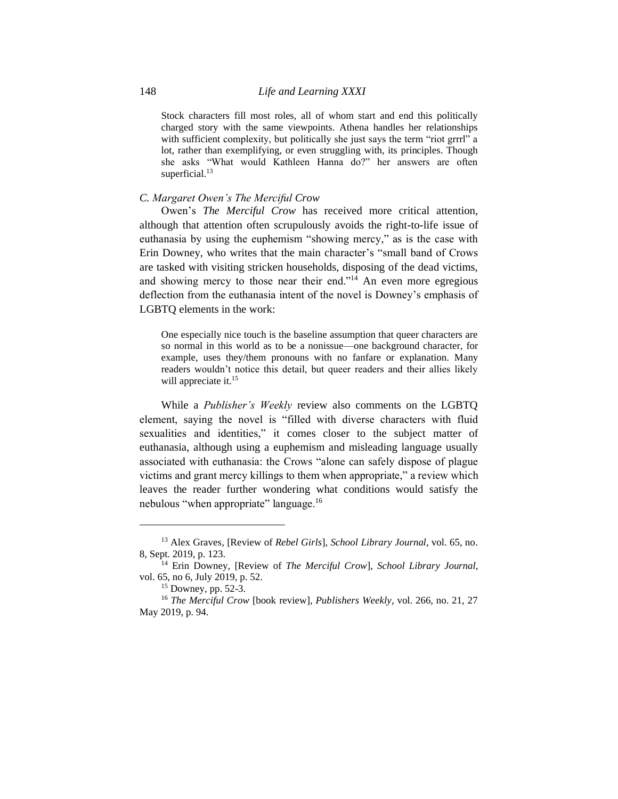Stock characters fill most roles, all of whom start and end this politically charged story with the same viewpoints. Athena handles her relationships with sufficient complexity, but politically she just says the term "riot grrrl" a lot, rather than exemplifying, or even struggling with, its principles. Though she asks "What would Kathleen Hanna do?" her answers are often superficial.<sup>13</sup>

## *C. Margaret Owen's The Merciful Crow*

Owen's *The Merciful Crow* has received more critical attention, although that attention often scrupulously avoids the right-to-life issue of euthanasia by using the euphemism "showing mercy," as is the case with Erin Downey, who writes that the main character's "small band of Crows are tasked with visiting stricken households, disposing of the dead victims, and showing mercy to those near their end."<sup>14</sup> An even more egregious deflection from the euthanasia intent of the novel is Downey's emphasis of LGBTQ elements in the work:

One especially nice touch is the baseline assumption that queer characters are so normal in this world as to be a nonissue—one background character, for example, uses they/them pronouns with no fanfare or explanation. Many readers wouldn't notice this detail, but queer readers and their allies likely will appreciate it.<sup>15</sup>

While a *Publisher's Weekly* review also comments on the LGBTQ element, saying the novel is "filled with diverse characters with fluid sexualities and identities," it comes closer to the subject matter of euthanasia, although using a euphemism and misleading language usually associated with euthanasia: the Crows "alone can safely dispose of plague victims and grant mercy killings to them when appropriate," a review which leaves the reader further wondering what conditions would satisfy the nebulous "when appropriate" language.<sup>16</sup>

<sup>13</sup> Alex Graves, [Review of *Rebel Girls*], *School Library Journal*, vol. 65, no. 8, Sept. 2019, p. 123.

<sup>14</sup> Erin Downey, [Review of *The Merciful Crow*], *School Library Journal*, vol. 65, no 6, July 2019, p. 52.

<sup>15</sup> Downey, pp. 52-3.

<sup>16</sup> *The Merciful Crow* [book review], *Publishers Weekly*, vol. 266, no. 21, 27 May 2019, p. 94.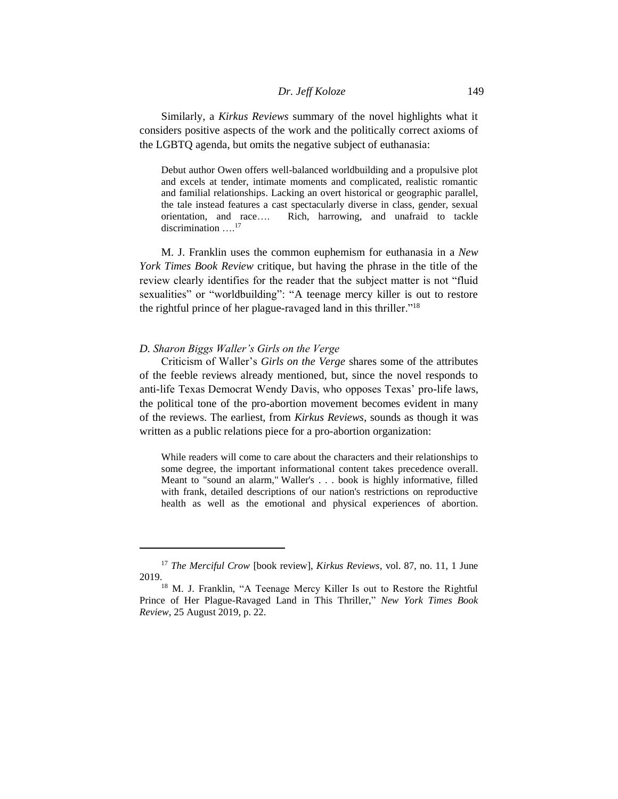Similarly, a *Kirkus Reviews* summary of the novel highlights what it considers positive aspects of the work and the politically correct axioms of the LGBTQ agenda, but omits the negative subject of euthanasia:

Debut author Owen offers well-balanced worldbuilding and a propulsive plot and excels at tender, intimate moments and complicated, realistic romantic and familial relationships. Lacking an overt historical or geographic parallel, the tale instead features a cast spectacularly diverse in class, gender, sexual orientation, and race…. Rich, harrowing, and unafraid to tackle discrimination …. 17

M. J. Franklin uses the common euphemism for euthanasia in a *New York Times Book Review* critique, but having the phrase in the title of the review clearly identifies for the reader that the subject matter is not "fluid sexualities" or "worldbuilding": "A teenage mercy killer is out to restore the rightful prince of her plague-ravaged land in this thriller."<sup>18</sup>

## *D. Sharon Biggs Waller's Girls on the Verge*

Criticism of Waller's *Girls on the Verge* shares some of the attributes of the feeble reviews already mentioned, but, since the novel responds to anti-life Texas Democrat Wendy Davis, who opposes Texas' pro-life laws, the political tone of the pro-abortion movement becomes evident in many of the reviews. The earliest, from *Kirkus Reviews*, sounds as though it was written as a public relations piece for a pro-abortion organization:

While readers will come to care about the characters and their relationships to some degree, the important informational content takes precedence overall. Meant to "sound an alarm," Waller's . . . book is highly informative, filled with frank, detailed descriptions of our nation's restrictions on reproductive health as well as the emotional and physical experiences of abortion.

<sup>17</sup> *The Merciful Crow* [book review], *Kirkus Reviews*, vol. 87, no. 11, 1 June 2019.

<sup>&</sup>lt;sup>18</sup> M. J. Franklin, "A Teenage Mercy Killer Is out to Restore the Rightful Prince of Her Plague-Ravaged Land in This Thriller," *New York Times Book Review*, 25 August 2019, p. 22.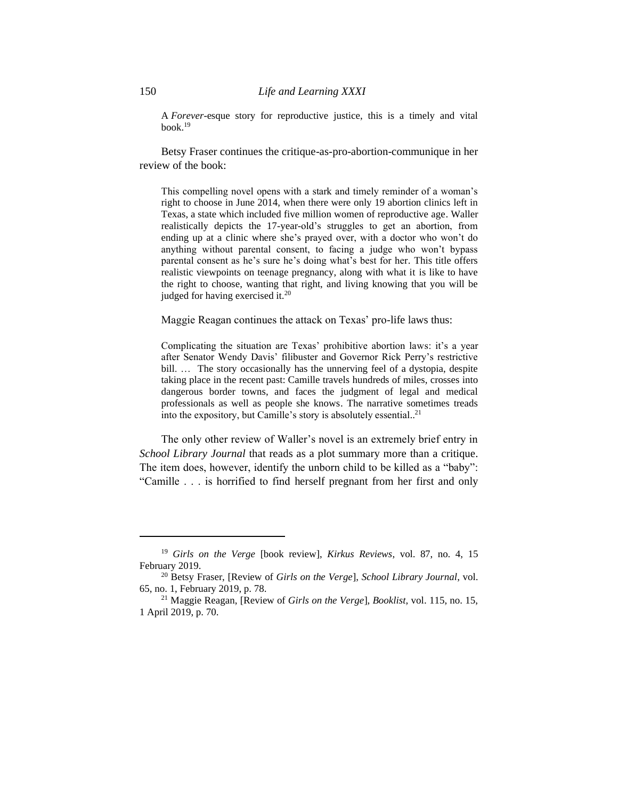A *Forever*-esque story for reproductive justice, this is a timely and vital book. 19

Betsy Fraser continues the critique-as-pro-abortion-communique in her review of the book:

This compelling novel opens with a stark and timely reminder of a woman's right to choose in June 2014, when there were only 19 abortion clinics left in Texas, a state which included five million women of reproductive age. Waller realistically depicts the 17-year-old's struggles to get an abortion, from ending up at a clinic where she's prayed over, with a doctor who won't do anything without parental consent, to facing a judge who won't bypass parental consent as he's sure he's doing what's best for her. This title offers realistic viewpoints on teenage pregnancy, along with what it is like to have the right to choose, wanting that right, and living knowing that you will be judged for having exercised it.<sup>20</sup>

Maggie Reagan continues the attack on Texas' pro-life laws thus:

Complicating the situation are Texas' prohibitive abortion laws: it's a year after Senator Wendy Davis' filibuster and Governor Rick Perry's restrictive bill. ... The story occasionally has the unnerving feel of a dystopia, despite taking place in the recent past: Camille travels hundreds of miles, crosses into dangerous border towns, and faces the judgment of legal and medical professionals as well as people she knows. The narrative sometimes treads into the expository, but Camille's story is absolutely essential.. 21

The only other review of Waller's novel is an extremely brief entry in *School Library Journal* that reads as a plot summary more than a critique. The item does, however, identify the unborn child to be killed as a "baby": "Camille . . . is horrified to find herself pregnant from her first and only

<sup>19</sup> *Girls on the Verge* [book review], *Kirkus Reviews*, vol. 87, no. 4, 15 February 2019.

<sup>20</sup> Betsy Fraser, [Review of *Girls on the Verge*], *School Library Journal*, vol. 65, no. 1, February 2019, p. 78.

<sup>21</sup> Maggie Reagan, [Review of *Girls on the Verge*], *Booklist*, vol. 115, no. 15, 1 April 2019, p. 70.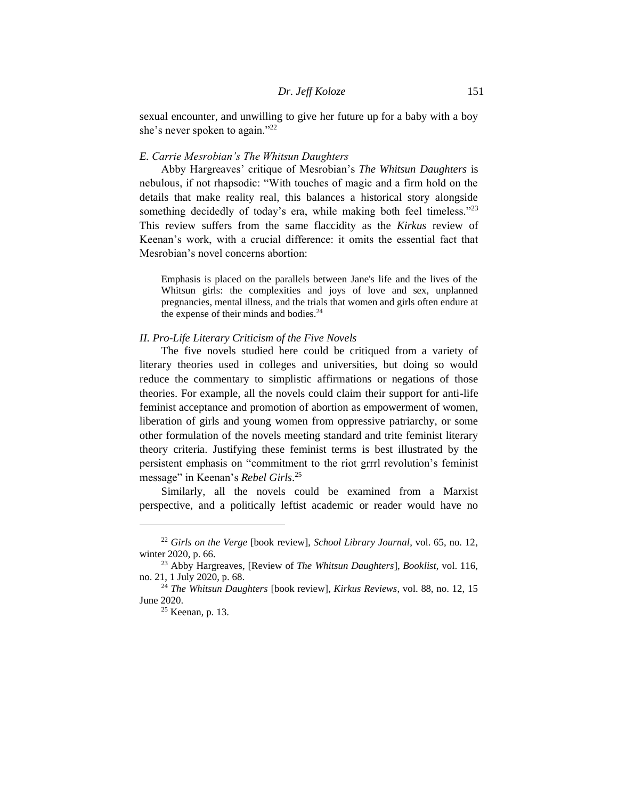sexual encounter, and unwilling to give her future up for a baby with a boy she's never spoken to again."<sup>22</sup>

#### *E. Carrie Mesrobian's The Whitsun Daughters*

Abby Hargreaves' critique of Mesrobian's *The Whitsun Daughters* is nebulous, if not rhapsodic: "With touches of magic and a firm hold on the details that make reality real, this balances a historical story alongside something decidedly of today's era, while making both feel timeless."<sup>23</sup> This review suffers from the same flaccidity as the *Kirkus* review of Keenan's work, with a crucial difference: it omits the essential fact that Mesrobian's novel concerns abortion:

Emphasis is placed on the parallels between Jane's life and the lives of the Whitsun girls: the complexities and joys of love and sex, unplanned pregnancies, mental illness, and the trials that women and girls often endure at the expense of their minds and bodies.<sup>24</sup>

## *II. Pro-Life Literary Criticism of the Five Novels*

The five novels studied here could be critiqued from a variety of literary theories used in colleges and universities, but doing so would reduce the commentary to simplistic affirmations or negations of those theories. For example, all the novels could claim their support for anti-life feminist acceptance and promotion of abortion as empowerment of women, liberation of girls and young women from oppressive patriarchy, or some other formulation of the novels meeting standard and trite feminist literary theory criteria. Justifying these feminist terms is best illustrated by the persistent emphasis on "commitment to the riot grrrl revolution's feminist message" in Keenan's *Rebel Girls*. 25

Similarly, all the novels could be examined from a Marxist perspective, and a politically leftist academic or reader would have no

<sup>22</sup> *Girls on the Verge* [book review], *School Library Journal*, vol. 65, no. 12, winter 2020, p. 66.

<sup>23</sup> Abby Hargreaves, [Review of *The Whitsun Daughters*], *Booklist*, vol. 116, no. 21, 1 July 2020, p. 68.

<sup>24</sup> *The Whitsun Daughters* [book review], *Kirkus Reviews*, vol. 88, no. 12, 15 June 2020.

 $25$  Keenan, p. 13.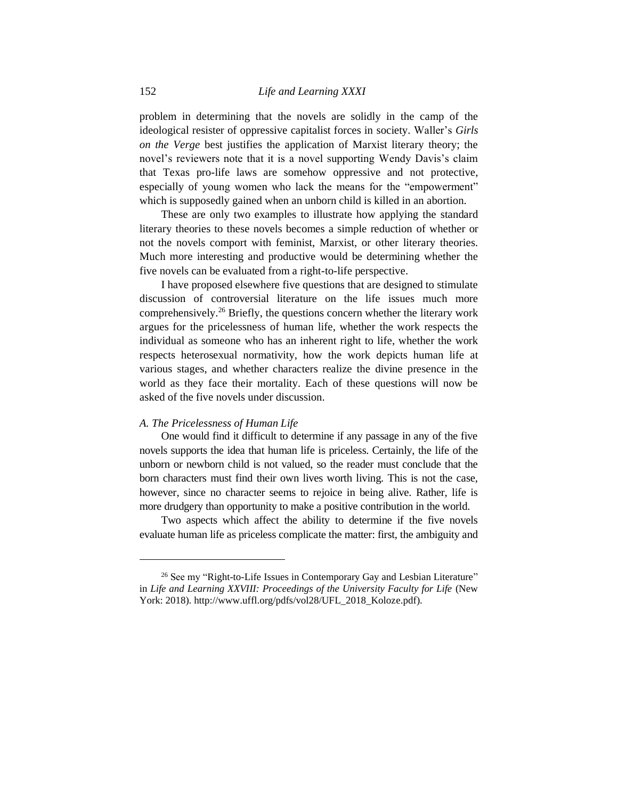problem in determining that the novels are solidly in the camp of the ideological resister of oppressive capitalist forces in society. Waller's *Girls on the Verge* best justifies the application of Marxist literary theory; the novel's reviewers note that it is a novel supporting Wendy Davis's claim that Texas pro-life laws are somehow oppressive and not protective, especially of young women who lack the means for the "empowerment" which is supposedly gained when an unborn child is killed in an abortion.

These are only two examples to illustrate how applying the standard literary theories to these novels becomes a simple reduction of whether or not the novels comport with feminist, Marxist, or other literary theories. Much more interesting and productive would be determining whether the five novels can be evaluated from a right-to-life perspective.

I have proposed elsewhere five questions that are designed to stimulate discussion of controversial literature on the life issues much more comprehensively.<sup>26</sup> Briefly, the questions concern whether the literary work argues for the pricelessness of human life, whether the work respects the individual as someone who has an inherent right to life, whether the work respects heterosexual normativity, how the work depicts human life at various stages, and whether characters realize the divine presence in the world as they face their mortality. Each of these questions will now be asked of the five novels under discussion.

#### *A. The Pricelessness of Human Life*

One would find it difficult to determine if any passage in any of the five novels supports the idea that human life is priceless. Certainly, the life of the unborn or newborn child is not valued, so the reader must conclude that the born characters must find their own lives worth living. This is not the case, however, since no character seems to rejoice in being alive. Rather, life is more drudgery than opportunity to make a positive contribution in the world.

Two aspects which affect the ability to determine if the five novels evaluate human life as priceless complicate the matter: first, the ambiguity and

<sup>&</sup>lt;sup>26</sup> See my "Right-to-Life Issues in Contemporary Gay and Lesbian Literature" in *Life and Learning XXVIII: Proceedings of the University Faculty for Life* (New York: 2018). [http://www.uffl.org/pdfs/vol28/UFL\\_2018\\_Koloze.pdf\)](http://www.uffl.org/pdfs/vol28/UFL_2018_Koloze.pdf).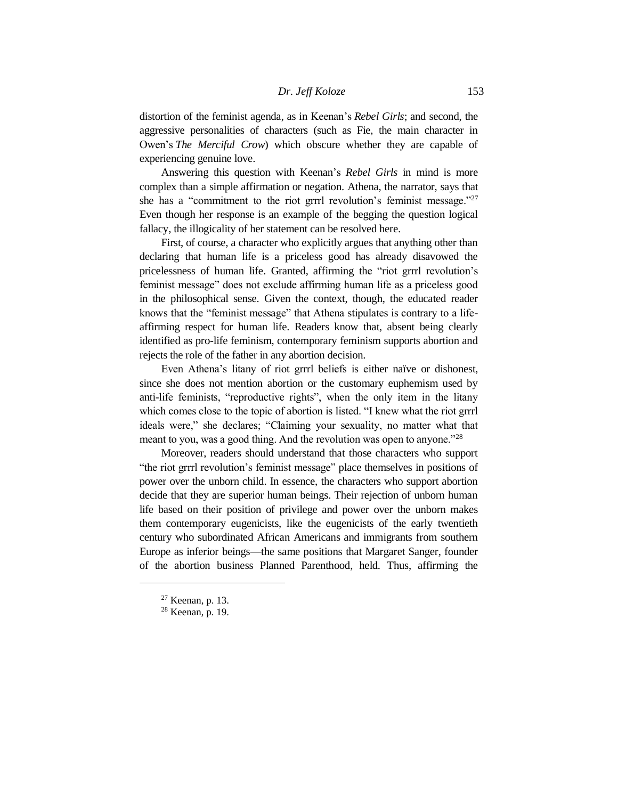distortion of the feminist agenda, as in Keenan's *Rebel Girls*; and second, the aggressive personalities of characters (such as Fie, the main character in Owen's *The Merciful Crow*) which obscure whether they are capable of experiencing genuine love.

Answering this question with Keenan's *Rebel Girls* in mind is more complex than a simple affirmation or negation. Athena, the narrator, says that she has a "commitment to the riot grrrl revolution's feminist message."<sup>27</sup> Even though her response is an example of the begging the question logical fallacy, the illogicality of her statement can be resolved here.

First, of course, a character who explicitly argues that anything other than declaring that human life is a priceless good has already disavowed the pricelessness of human life. Granted, affirming the "riot grrrl revolution's feminist message" does not exclude affirming human life as a priceless good in the philosophical sense. Given the context, though, the educated reader knows that the "feminist message" that Athena stipulates is contrary to a lifeaffirming respect for human life. Readers know that, absent being clearly identified as pro-life feminism, contemporary feminism supports abortion and rejects the role of the father in any abortion decision.

Even Athena's litany of riot grrrl beliefs is either naïve or dishonest, since she does not mention abortion or the customary euphemism used by anti-life feminists, "reproductive rights", when the only item in the litany which comes close to the topic of abortion is listed. "I knew what the riot grrrl ideals were," she declares; "Claiming your sexuality, no matter what that meant to you, was a good thing. And the revolution was open to anyone."<sup>28</sup>

Moreover, readers should understand that those characters who support "the riot grrrl revolution's feminist message" place themselves in positions of power over the unborn child. In essence, the characters who support abortion decide that they are superior human beings. Their rejection of unborn human life based on their position of privilege and power over the unborn makes them contemporary eugenicists, like the eugenicists of the early twentieth century who subordinated African Americans and immigrants from southern Europe as inferior beings—the same positions that Margaret Sanger, founder of the abortion business Planned Parenthood, held. Thus, affirming the

<sup>27</sup> Keenan, p. 13.

<sup>28</sup> Keenan, p. 19.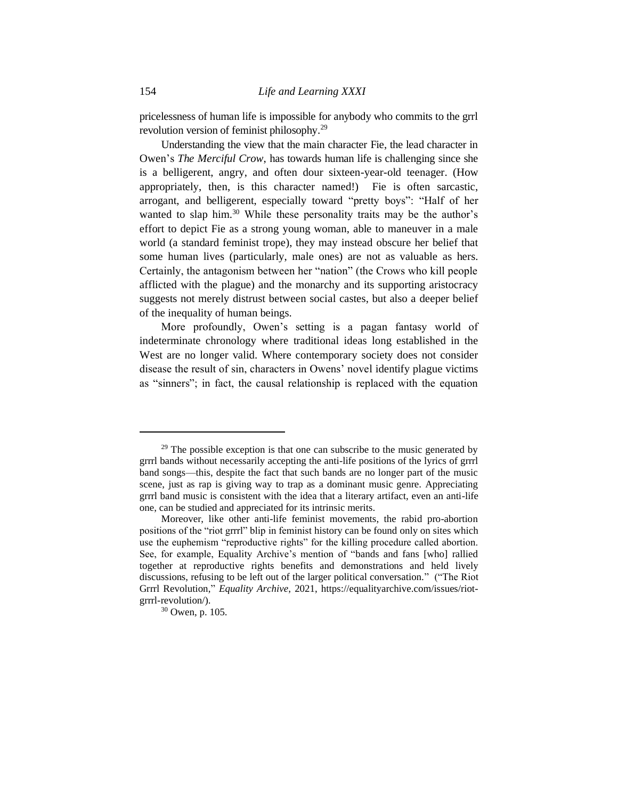pricelessness of human life is impossible for anybody who commits to the grrl revolution version of feminist philosophy.<sup>29</sup>

Understanding the view that the main character Fie, the lead character in Owen's *The Merciful Crow*, has towards human life is challenging since she is a belligerent, angry, and often dour sixteen-year-old teenager. (How appropriately, then, is this character named!) Fie is often sarcastic, arrogant, and belligerent, especially toward "pretty boys": "Half of her wanted to slap him.<sup>30</sup> While these personality traits may be the author's effort to depict Fie as a strong young woman, able to maneuver in a male world (a standard feminist trope), they may instead obscure her belief that some human lives (particularly, male ones) are not as valuable as hers. Certainly, the antagonism between her "nation" (the Crows who kill people afflicted with the plague) and the monarchy and its supporting aristocracy suggests not merely distrust between social castes, but also a deeper belief of the inequality of human beings.

More profoundly, Owen's setting is a pagan fantasy world of indeterminate chronology where traditional ideas long established in the West are no longer valid. Where contemporary society does not consider disease the result of sin, characters in Owens' novel identify plague victims as "sinners"; in fact, the causal relationship is replaced with the equation

 $29$  The possible exception is that one can subscribe to the music generated by grrrl bands without necessarily accepting the anti-life positions of the lyrics of grrrl band songs—this, despite the fact that such bands are no longer part of the music scene, just as rap is giving way to trap as a dominant music genre. Appreciating grrrl band music is consistent with the idea that a literary artifact, even an anti-life one, can be studied and appreciated for its intrinsic merits.

Moreover, like other anti-life feminist movements, the rabid pro-abortion positions of the "riot grrrl" blip in feminist history can be found only on sites which use the euphemism "reproductive rights" for the killing procedure called abortion. See, for example, Equality Archive's mention of "bands and fans [who] rallied together at reproductive rights benefits and demonstrations and held lively discussions, refusing to be left out of the larger political conversation." ("The Riot Grrrl Revolution," *Equality Archive*, 2021, https://equalityarchive.com/issues/riotgrrrl-revolution/).

<sup>30</sup> Owen, p. 105.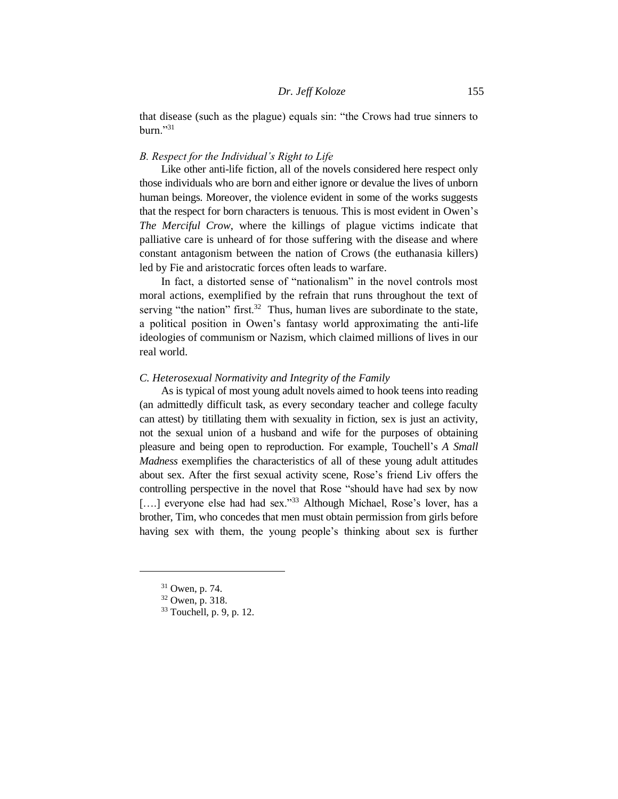that disease (such as the plague) equals sin: "the Crows had true sinners to  $burn.^{"31}$ 

## *B. Respect for the Individual's Right to Life*

Like other anti-life fiction, all of the novels considered here respect only those individuals who are born and either ignore or devalue the lives of unborn human beings. Moreover, the violence evident in some of the works suggests that the respect for born characters is tenuous. This is most evident in Owen's *The Merciful Crow*, where the killings of plague victims indicate that palliative care is unheard of for those suffering with the disease and where constant antagonism between the nation of Crows (the euthanasia killers) led by Fie and aristocratic forces often leads to warfare.

In fact, a distorted sense of "nationalism" in the novel controls most moral actions, exemplified by the refrain that runs throughout the text of serving "the nation" first. $32$  Thus, human lives are subordinate to the state, a political position in Owen's fantasy world approximating the anti-life ideologies of communism or Nazism, which claimed millions of lives in our real world.

## *C. Heterosexual Normativity and Integrity of the Family*

As is typical of most young adult novels aimed to hook teens into reading (an admittedly difficult task, as every secondary teacher and college faculty can attest) by titillating them with sexuality in fiction, sex is just an activity, not the sexual union of a husband and wife for the purposes of obtaining pleasure and being open to reproduction. For example, Touchell's *A Small Madness* exemplifies the characteristics of all of these young adult attitudes about sex. After the first sexual activity scene, Rose's friend Liv offers the controlling perspective in the novel that Rose "should have had sex by now [....] everyone else had had sex."<sup>33</sup> Although Michael, Rose's lover, has a brother, Tim, who concedes that men must obtain permission from girls before having sex with them, the young people's thinking about sex is further

<sup>31</sup> Owen, p. 74.

<sup>32</sup> Owen, p. 318.

<sup>&</sup>lt;sup>33</sup> Touchell, p. 9, p. 12.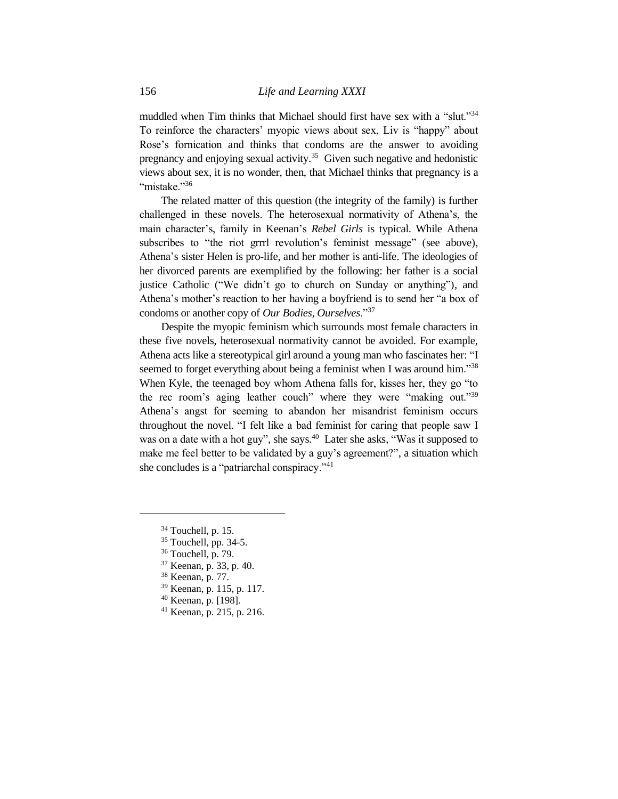muddled when Tim thinks that Michael should first have sex with a "slut."<sup>34</sup> To reinforce the characters' myopic views about sex, Liv is "happy" about Rose's fornication and thinks that condoms are the answer to avoiding pregnancy and enjoying sexual activity.<sup>35</sup> Given such negative and hedonistic views about sex, it is no wonder, then, that Michael thinks that pregnancy is a "mistake."36

The related matter of this question (the integrity of the family) is further challenged in these novels. The heterosexual normativity of Athena's, the main character's, family in Keenan's *Rebel Girls* is typical. While Athena subscribes to "the riot grrrl revolution's feminist message" (see above), Athena's sister Helen is pro-life, and her mother is anti-life. The ideologies of her divorced parents are exemplified by the following: her father is a social justice Catholic ("We didn't go to church on Sunday or anything"), and Athena's mother's reaction to her having a boyfriend is to send her "a box of condoms or another copy of *Our Bodies, Ourselves*."<sup>37</sup>

Despite the myopic feminism which surrounds most female characters in these five novels, heterosexual normativity cannot be avoided. For example, Athena acts like a stereotypical girl around a young man who fascinates her: "I seemed to forget everything about being a feminist when I was around him."<sup>38</sup> When Kyle, the teenaged boy whom Athena falls for, kisses her, they go "to the rec room's aging leather couch" where they were "making out."<sup>39</sup> Athena's angst for seeming to abandon her misandrist feminism occurs throughout the novel. "I felt like a bad feminist for caring that people saw I was on a date with a hot guy", she says.<sup>40</sup> Later she asks, "Was it supposed to make me feel better to be validated by a guy's agreement?", a situation which she concludes is a "patriarchal conspiracy."<sup>41</sup>

- <sup>40</sup> Keenan, p. [198].
- <sup>41</sup> Keenan, p. 215, p. 216.

 $34$  Touchell, p. 15.

 $35$  Touchell, pp. 34-5.

<sup>36</sup> Touchell, p. 79.

<sup>37</sup> Keenan, p. 33, p. 40.

<sup>38</sup> Keenan, p. 77.

<sup>39</sup> Keenan, p. 115, p. 117.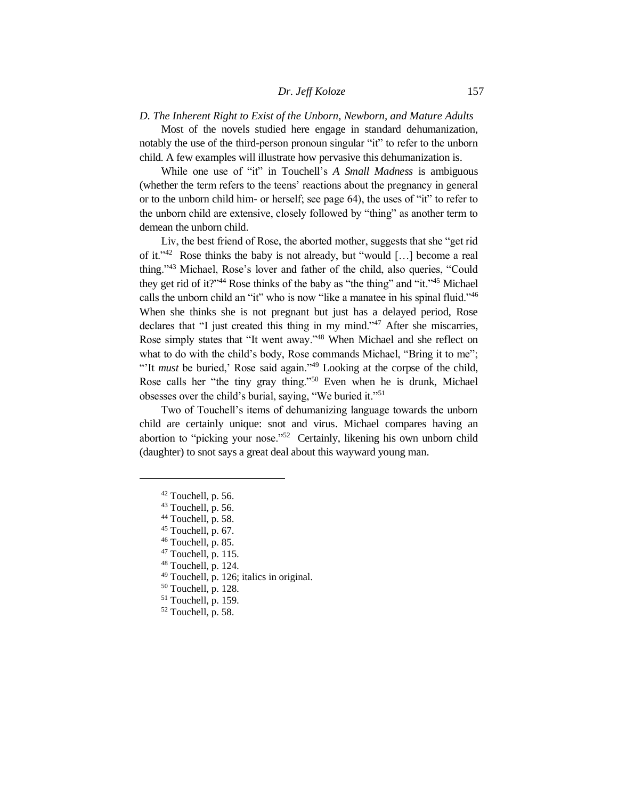## *D. The Inherent Right to Exist of the Unborn, Newborn, and Mature Adults*

Most of the novels studied here engage in standard dehumanization, notably the use of the third-person pronoun singular "it" to refer to the unborn child. A few examples will illustrate how pervasive this dehumanization is.

While one use of "it" in Touchell's *A Small Madness* is ambiguous (whether the term refers to the teens' reactions about the pregnancy in general or to the unborn child him- or herself; see page 64), the uses of "it" to refer to the unborn child are extensive, closely followed by "thing" as another term to demean the unborn child.

Liv, the best friend of Rose, the aborted mother, suggests that she "get rid of it."<sup>42</sup> Rose thinks the baby is not already, but "would [...] become a real thing."<sup>43</sup> Michael, Rose's lover and father of the child, also queries, "Could they get rid of it?"<sup>44</sup> Rose thinks of the baby as "the thing" and "it."<sup>45</sup> Michael calls the unborn child an "it" who is now "like a manatee in his spinal fluid."<sup>46</sup> When she thinks she is not pregnant but just has a delayed period, Rose declares that "I just created this thing in my mind."<sup>47</sup> After she miscarries, Rose simply states that "It went away."<sup>48</sup> When Michael and she reflect on what to do with the child's body, Rose commands Michael, "Bring it to me"; "It *must* be buried,' Rose said again."<sup>49</sup> Looking at the corpse of the child, Rose calls her "the tiny gray thing."<sup>50</sup> Even when he is drunk, Michael obsesses over the child's burial, saying, "We buried it."<sup>51</sup>

Two of Touchell's items of dehumanizing language towards the unborn child are certainly unique: snot and virus. Michael compares having an abortion to "picking your nose."<sup>52</sup> Certainly, likening his own unborn child (daughter) to snot says a great deal about this wayward young man.

 $42$  Touchell, p. 56.

<sup>&</sup>lt;sup>43</sup> Touchell, p. 56.

<sup>&</sup>lt;sup>44</sup> Touchell, p. 58.

 $45$  Touchell, p. 67.

<sup>46</sup> Touchell, p. 85.

 $47$  Touchell, p. 115.

<sup>48</sup> Touchell, p. 124.

<sup>49</sup> Touchell, p. 126; italics in original.

<sup>50</sup> Touchell, p. 128.

<sup>51</sup> Touchell, p. 159.

<sup>&</sup>lt;sup>52</sup> Touchell, p. 58.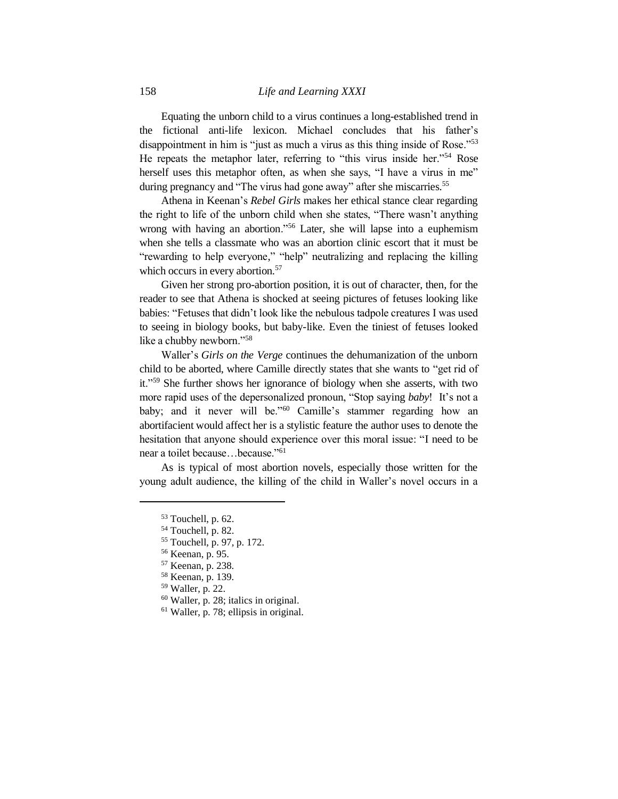Equating the unborn child to a virus continues a long-established trend in the fictional anti-life lexicon. Michael concludes that his father's disappointment in him is "just as much a virus as this thing inside of Rose."<sup>53</sup> He repeats the metaphor later, referring to "this virus inside her."<sup>54</sup> Rose herself uses this metaphor often, as when she says, "I have a virus in me" during pregnancy and "The virus had gone away" after she miscarries.<sup>55</sup>

Athena in Keenan's *Rebel Girls* makes her ethical stance clear regarding the right to life of the unborn child when she states, "There wasn't anything wrong with having an abortion."<sup>56</sup> Later, she will lapse into a euphemism when she tells a classmate who was an abortion clinic escort that it must be "rewarding to help everyone," "help" neutralizing and replacing the killing which occurs in every abortion.<sup>57</sup>

Given her strong pro-abortion position, it is out of character, then, for the reader to see that Athena is shocked at seeing pictures of fetuses looking like babies: "Fetuses that didn't look like the nebulous tadpole creatures I was used to seeing in biology books, but baby-like. Even the tiniest of fetuses looked like a chubby newborn."<sup>58</sup>

Waller's *Girls on the Verge* continues the dehumanization of the unborn child to be aborted, where Camille directly states that she wants to "get rid of it."<sup>59</sup> She further shows her ignorance of biology when she asserts, with two more rapid uses of the depersonalized pronoun, "Stop saying *baby*! It's not a baby; and it never will be."<sup>60</sup> Camille's stammer regarding how an abortifacient would affect her is a stylistic feature the author uses to denote the hesitation that anyone should experience over this moral issue: "I need to be near a toilet because…because." 61

As is typical of most abortion novels, especially those written for the young adult audience, the killing of the child in Waller's novel occurs in a

<sup>53</sup> Touchell, p. 62.

<sup>54</sup> Touchell, p. 82.

<sup>55</sup> Touchell, p. 97, p. 172.

<sup>56</sup> Keenan, p. 95.

<sup>57</sup> Keenan, p. 238.

<sup>58</sup> Keenan, p. 139.

<sup>59</sup> Waller, p. 22.

<sup>60</sup> Waller, p. 28; italics in original.

<sup>61</sup> Waller, p. 78; ellipsis in original.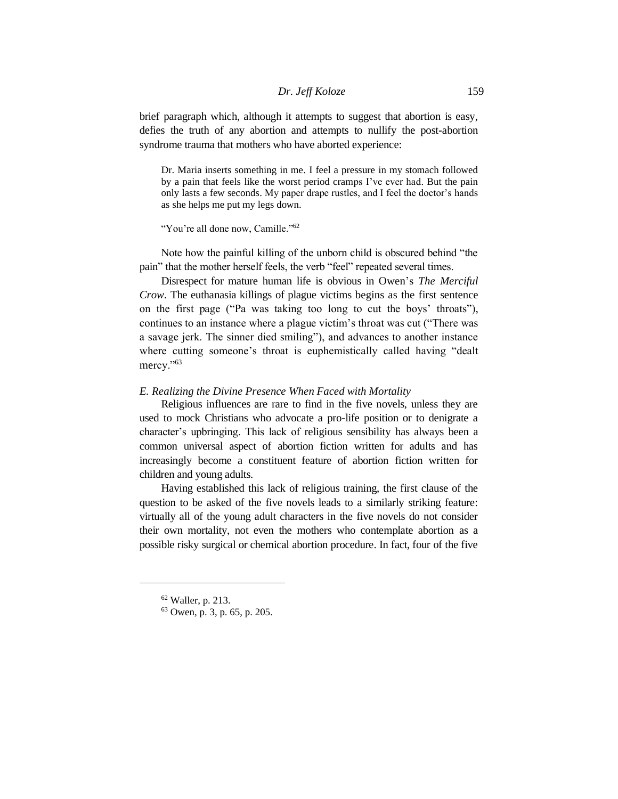brief paragraph which, although it attempts to suggest that abortion is easy, defies the truth of any abortion and attempts to nullify the post-abortion syndrome trauma that mothers who have aborted experience:

Dr. Maria inserts something in me. I feel a pressure in my stomach followed by a pain that feels like the worst period cramps I've ever had. But the pain only lasts a few seconds. My paper drape rustles, and I feel the doctor's hands as she helps me put my legs down.

"You're all done now, Camille."<sup>62</sup>

Note how the painful killing of the unborn child is obscured behind "the pain" that the mother herself feels, the verb "feel" repeated several times.

Disrespect for mature human life is obvious in Owen's *The Merciful Crow*. The euthanasia killings of plague victims begins as the first sentence on the first page ("Pa was taking too long to cut the boys' throats"), continues to an instance where a plague victim's throat was cut ("There was a savage jerk. The sinner died smiling"), and advances to another instance where cutting someone's throat is euphemistically called having "dealt mercy."<sup>63</sup>

## *E. Realizing the Divine Presence When Faced with Mortality*

Religious influences are rare to find in the five novels, unless they are used to mock Christians who advocate a pro-life position or to denigrate a character's upbringing. This lack of religious sensibility has always been a common universal aspect of abortion fiction written for adults and has increasingly become a constituent feature of abortion fiction written for children and young adults.

Having established this lack of religious training, the first clause of the question to be asked of the five novels leads to a similarly striking feature: virtually all of the young adult characters in the five novels do not consider their own mortality, not even the mothers who contemplate abortion as a possible risky surgical or chemical abortion procedure. In fact, four of the five

<sup>62</sup> Waller, p. 213.

<sup>63</sup> Owen, p. 3, p. 65, p. 205.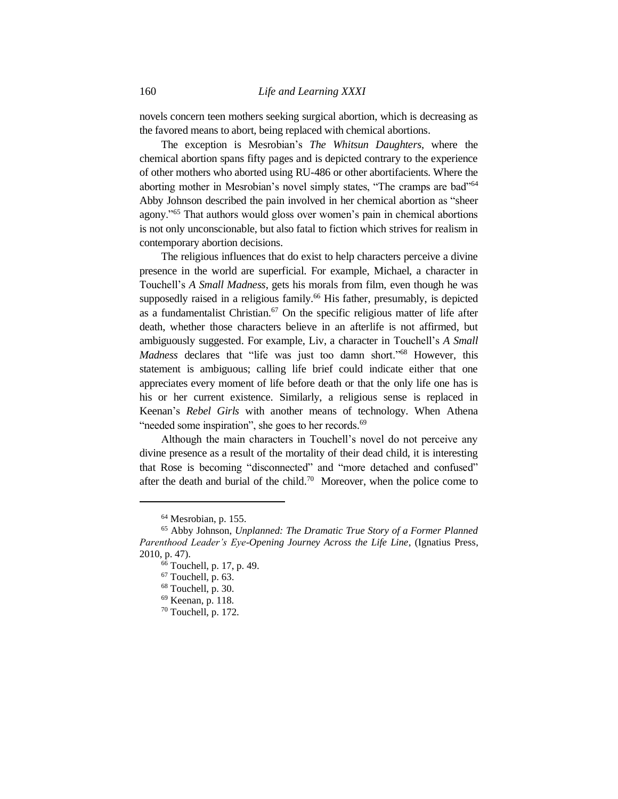novels concern teen mothers seeking surgical abortion, which is decreasing as the favored means to abort, being replaced with chemical abortions.

The exception is Mesrobian's *The Whitsun Daughters*, where the chemical abortion spans fifty pages and is depicted contrary to the experience of other mothers who aborted using RU-486 or other abortifacients. Where the aborting mother in Mesrobian's novel simply states, "The cramps are bad"<sup>64</sup> Abby Johnson described the pain involved in her chemical abortion as "sheer agony."<sup>65</sup> That authors would gloss over women's pain in chemical abortions is not only unconscionable, but also fatal to fiction which strives for realism in contemporary abortion decisions.

The religious influences that do exist to help characters perceive a divine presence in the world are superficial. For example, Michael, a character in Touchell's *A Small Madness*, gets his morals from film, even though he was supposedly raised in a religious family. <sup>66</sup> His father, presumably, is depicted as a fundamentalist Christian. <sup>67</sup> On the specific religious matter of life after death, whether those characters believe in an afterlife is not affirmed, but ambiguously suggested. For example, Liv, a character in Touchell's *A Small Madness* declares that "life was just too damn short."<sup>68</sup> However, this statement is ambiguous; calling life brief could indicate either that one appreciates every moment of life before death or that the only life one has is his or her current existence. Similarly, a religious sense is replaced in Keenan's *Rebel Girls* with another means of technology. When Athena "needed some inspiration", she goes to her records.<sup>69</sup>

Although the main characters in Touchell's novel do not perceive any divine presence as a result of the mortality of their dead child, it is interesting that Rose is becoming "disconnected" and "more detached and confused" after the death and burial of the child.<sup>70</sup> Moreover, when the police come to

<sup>64</sup> Mesrobian, p. 155.

<sup>65</sup> Abby Johnson, *Unplanned: The Dramatic True Story of a Former Planned Parenthood Leader's Eye-Opening Journey Across the Life Line*, (Ignatius Press, 2010, p. 47).

 $66$  Touchell, p. 17, p. 49.

<sup>67</sup> Touchell, p. 63.

<sup>68</sup> Touchell, p. 30.

<sup>69</sup> Keenan, p. 118.

 $70$  Touchell, p. 172.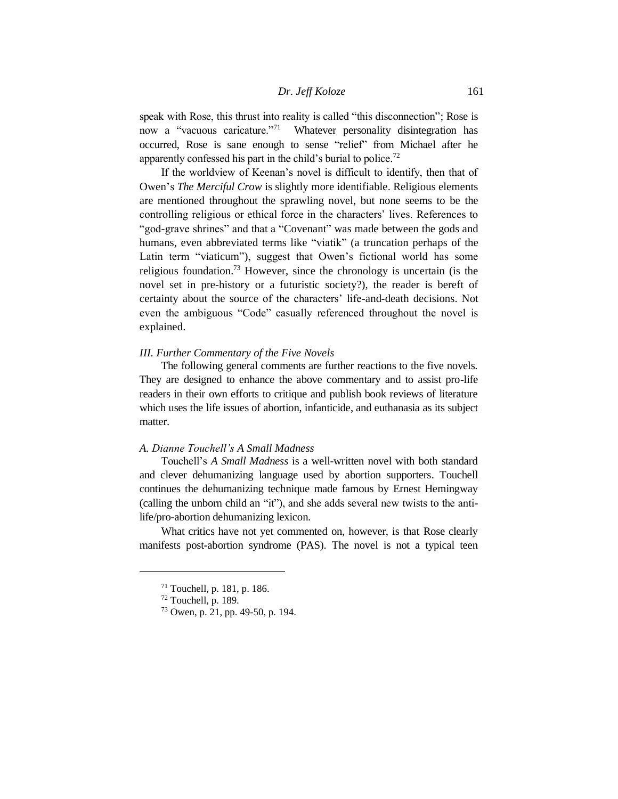speak with Rose, this thrust into reality is called "this disconnection"; Rose is now a "vacuous caricature."<sup>71</sup> Whatever personality disintegration has occurred, Rose is sane enough to sense "relief" from Michael after he apparently confessed his part in the child's burial to police.<sup>72</sup>

If the worldview of Keenan's novel is difficult to identify, then that of Owen's *The Merciful Crow* is slightly more identifiable. Religious elements are mentioned throughout the sprawling novel, but none seems to be the controlling religious or ethical force in the characters' lives. References to "god-grave shrines" and that a "Covenant" was made between the gods and humans, even abbreviated terms like "viatik" (a truncation perhaps of the Latin term "viaticum"), suggest that Owen's fictional world has some religious foundation.<sup>73</sup> However, since the chronology is uncertain (is the novel set in pre-history or a futuristic society?), the reader is bereft of certainty about the source of the characters' life-and-death decisions. Not even the ambiguous "Code" casually referenced throughout the novel is explained.

## *III. Further Commentary of the Five Novels*

The following general comments are further reactions to the five novels. They are designed to enhance the above commentary and to assist pro-life readers in their own efforts to critique and publish book reviews of literature which uses the life issues of abortion, infanticide, and euthanasia as its subject matter.

## *A. Dianne Touchell's A Small Madness*

Touchell's *A Small Madness* is a well-written novel with both standard and clever dehumanizing language used by abortion supporters. Touchell continues the dehumanizing technique made famous by Ernest Hemingway (calling the unborn child an "it"), and she adds several new twists to the antilife/pro-abortion dehumanizing lexicon.

What critics have not yet commented on, however, is that Rose clearly manifests post-abortion syndrome (PAS). The novel is not a typical teen

<sup>71</sup> Touchell, p. 181, p. 186.

 $72$  Touchell, p. 189.

<sup>73</sup> Owen, p. 21, pp. 49-50, p. 194.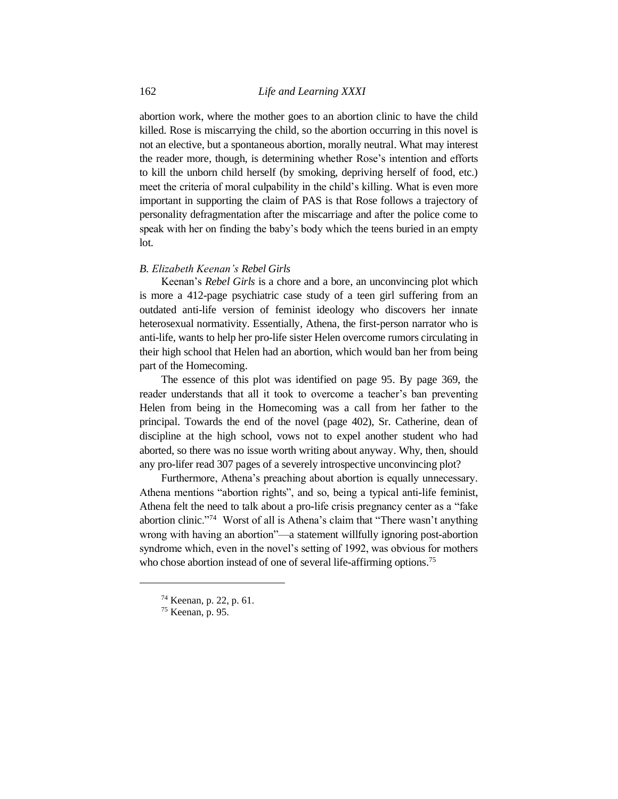abortion work, where the mother goes to an abortion clinic to have the child killed. Rose is miscarrying the child, so the abortion occurring in this novel is not an elective, but a spontaneous abortion, morally neutral. What may interest the reader more, though, is determining whether Rose's intention and efforts to kill the unborn child herself (by smoking, depriving herself of food, etc.) meet the criteria of moral culpability in the child's killing. What is even more important in supporting the claim of PAS is that Rose follows a trajectory of personality defragmentation after the miscarriage and after the police come to speak with her on finding the baby's body which the teens buried in an empty lot.

## *B. Elizabeth Keenan's Rebel Girls*

Keenan's *Rebel Girls* is a chore and a bore, an unconvincing plot which is more a 412-page psychiatric case study of a teen girl suffering from an outdated anti-life version of feminist ideology who discovers her innate heterosexual normativity. Essentially, Athena, the first-person narrator who is anti-life, wants to help her pro-life sister Helen overcome rumors circulating in their high school that Helen had an abortion, which would ban her from being part of the Homecoming.

The essence of this plot was identified on page 95. By page 369, the reader understands that all it took to overcome a teacher's ban preventing Helen from being in the Homecoming was a call from her father to the principal. Towards the end of the novel (page 402), Sr. Catherine, dean of discipline at the high school, vows not to expel another student who had aborted, so there was no issue worth writing about anyway. Why, then, should any pro-lifer read 307 pages of a severely introspective unconvincing plot?

Furthermore, Athena's preaching about abortion is equally unnecessary. Athena mentions "abortion rights", and so, being a typical anti-life feminist, Athena felt the need to talk about a pro-life crisis pregnancy center as a "fake abortion clinic."<sup>74</sup> Worst of all is Athena's claim that "There wasn't anything wrong with having an abortion"—a statement willfully ignoring post-abortion syndrome which, even in the novel's setting of 1992, was obvious for mothers who chose abortion instead of one of several life-affirming options.<sup>75</sup>

<sup>74</sup> Keenan, p. 22, p. 61.

<sup>75</sup> Keenan, p. 95.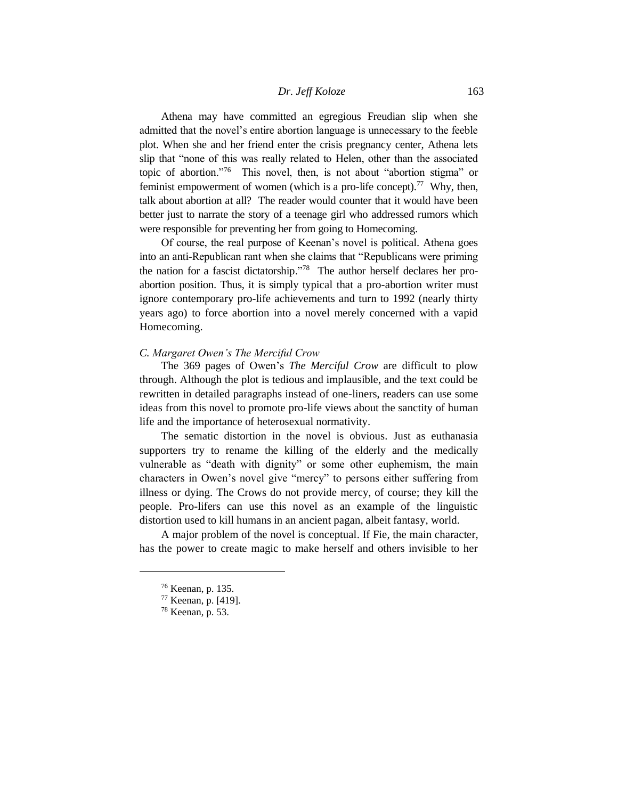Athena may have committed an egregious Freudian slip when she admitted that the novel's entire abortion language is unnecessary to the feeble plot. When she and her friend enter the crisis pregnancy center, Athena lets slip that "none of this was really related to Helen, other than the associated topic of abortion."<sup>76</sup> This novel, then, is not about "abortion stigma" or feminist empowerment of women (which is a pro-life concept).<sup>77</sup> Why, then, talk about abortion at all? The reader would counter that it would have been better just to narrate the story of a teenage girl who addressed rumors which were responsible for preventing her from going to Homecoming.

Of course, the real purpose of Keenan's novel is political. Athena goes into an anti-Republican rant when she claims that "Republicans were priming the nation for a fascist dictatorship."<sup>78</sup> The author herself declares her proabortion position. Thus, it is simply typical that a pro-abortion writer must ignore contemporary pro-life achievements and turn to 1992 (nearly thirty years ago) to force abortion into a novel merely concerned with a vapid Homecoming.

#### *C. Margaret Owen's The Merciful Crow*

The 369 pages of Owen's *The Merciful Crow* are difficult to plow through. Although the plot is tedious and implausible, and the text could be rewritten in detailed paragraphs instead of one-liners, readers can use some ideas from this novel to promote pro-life views about the sanctity of human life and the importance of heterosexual normativity.

The sematic distortion in the novel is obvious. Just as euthanasia supporters try to rename the killing of the elderly and the medically vulnerable as "death with dignity" or some other euphemism, the main characters in Owen's novel give "mercy" to persons either suffering from illness or dying. The Crows do not provide mercy, of course; they kill the people. Pro-lifers can use this novel as an example of the linguistic distortion used to kill humans in an ancient pagan, albeit fantasy, world.

A major problem of the novel is conceptual. If Fie, the main character, has the power to create magic to make herself and others invisible to her

<sup>76</sup> Keenan, p. 135.

<sup>77</sup> Keenan, p. [419].

<sup>78</sup> Keenan, p. 53.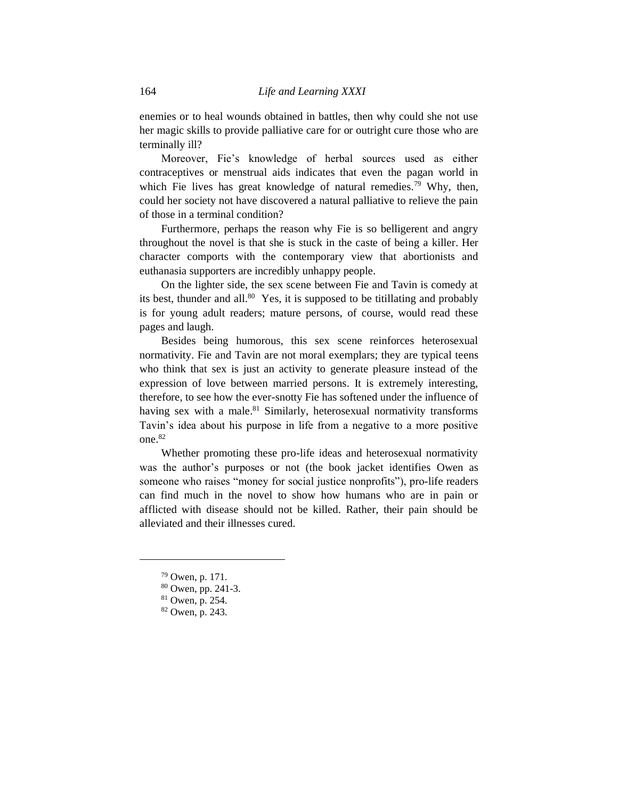enemies or to heal wounds obtained in battles, then why could she not use her magic skills to provide palliative care for or outright cure those who are terminally ill?

Moreover, Fie's knowledge of herbal sources used as either contraceptives or menstrual aids indicates that even the pagan world in which Fie lives has great knowledge of natural remedies.<sup>79</sup> Why, then, could her society not have discovered a natural palliative to relieve the pain of those in a terminal condition?

Furthermore, perhaps the reason why Fie is so belligerent and angry throughout the novel is that she is stuck in the caste of being a killer. Her character comports with the contemporary view that abortionists and euthanasia supporters are incredibly unhappy people.

On the lighter side, the sex scene between Fie and Tavin is comedy at its best, thunder and all.<sup>80</sup> Yes, it is supposed to be titillating and probably is for young adult readers; mature persons, of course, would read these pages and laugh.

Besides being humorous, this sex scene reinforces heterosexual normativity. Fie and Tavin are not moral exemplars; they are typical teens who think that sex is just an activity to generate pleasure instead of the expression of love between married persons. It is extremely interesting, therefore, to see how the ever-snotty Fie has softened under the influence of having sex with a male.<sup>81</sup> Similarly, heterosexual normativity transforms Tavin's idea about his purpose in life from a negative to a more positive one. 82

Whether promoting these pro-life ideas and heterosexual normativity was the author's purposes or not (the book jacket identifies Owen as someone who raises "money for social justice nonprofits"), pro-life readers can find much in the novel to show how humans who are in pain or afflicted with disease should not be killed. Rather, their pain should be alleviated and their illnesses cured.

<sup>79</sup> Owen, p. 171.

<sup>80</sup> Owen, pp. 241-3.

<sup>81</sup> Owen, p. 254.

<sup>82</sup> Owen, p. 243.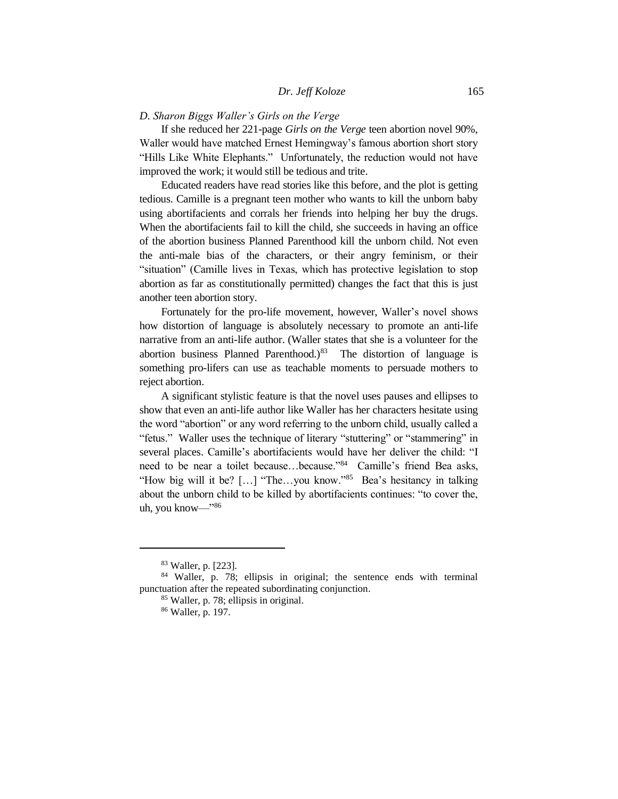## *D. Sharon Biggs Waller's Girls on the Verge*

If she reduced her 221-page *Girls on the Verge* teen abortion novel 90%, Waller would have matched Ernest Hemingway's famous abortion short story "Hills Like White Elephants." Unfortunately, the reduction would not have improved the work; it would still be tedious and trite.

Educated readers have read stories like this before, and the plot is getting tedious. Camille is a pregnant teen mother who wants to kill the unborn baby using abortifacients and corrals her friends into helping her buy the drugs. When the abortifacients fail to kill the child, she succeeds in having an office of the abortion business Planned Parenthood kill the unborn child. Not even the anti-male bias of the characters, or their angry feminism, or their "situation" (Camille lives in Texas, which has protective legislation to stop abortion as far as constitutionally permitted) changes the fact that this is just another teen abortion story.

Fortunately for the pro-life movement, however, Waller's novel shows how distortion of language is absolutely necessary to promote an anti-life narrative from an anti-life author. (Waller states that she is a volunteer for the abortion business Planned Parenthood.) $83$  The distortion of language is something pro-lifers can use as teachable moments to persuade mothers to reject abortion.

A significant stylistic feature is that the novel uses pauses and ellipses to show that even an anti-life author like Waller has her characters hesitate using the word "abortion" or any word referring to the unborn child, usually called a "fetus." Waller uses the technique of literary "stuttering" or "stammering" in several places. Camille's abortifacients would have her deliver the child: "I need to be near a toilet because…because."<sup>84</sup> Camille's friend Bea asks, "How big will it be? [...] "The...you know."<sup>85</sup> Bea's hesitancy in talking about the unborn child to be killed by abortifacients continues: "to cover the, uh, you know—"<sup>86</sup>

<sup>83</sup> Waller, p. [223].

<sup>84</sup> Waller, p. 78; ellipsis in original; the sentence ends with terminal punctuation after the repeated subordinating conjunction.

<sup>85</sup> Waller, p. 78; ellipsis in original.

<sup>86</sup> Waller, p. 197.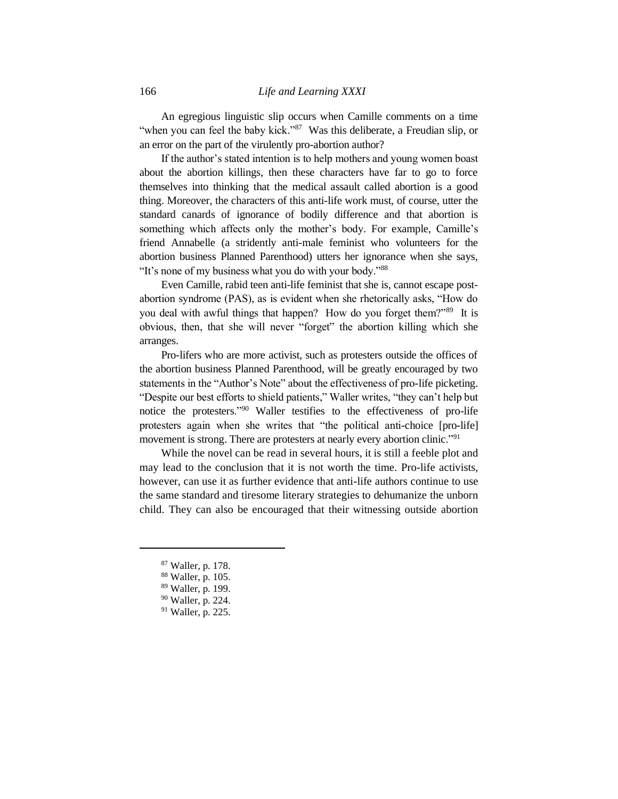An egregious linguistic slip occurs when Camille comments on a time "when you can feel the baby kick."<sup>87</sup> Was this deliberate, a Freudian slip, or an error on the part of the virulently pro-abortion author?

If the author's stated intention is to help mothers and young women boast about the abortion killings, then these characters have far to go to force themselves into thinking that the medical assault called abortion is a good thing. Moreover, the characters of this anti-life work must, of course, utter the standard canards of ignorance of bodily difference and that abortion is something which affects only the mother's body. For example, Camille's friend Annabelle (a stridently anti-male feminist who volunteers for the abortion business Planned Parenthood) utters her ignorance when she says, "It's none of my business what you do with your body."<sup>88</sup>

Even Camille, rabid teen anti-life feminist that she is, cannot escape postabortion syndrome (PAS), as is evident when she rhetorically asks, "How do you deal with awful things that happen? How do you forget them?"<sup>89</sup> It is obvious, then, that she will never "forget" the abortion killing which she arranges.

Pro-lifers who are more activist, such as protesters outside the offices of the abortion business Planned Parenthood, will be greatly encouraged by two statements in the "Author's Note" about the effectiveness of pro-life picketing. "Despite our best efforts to shield patients," Waller writes, "they can't help but notice the protesters."<sup>90</sup> Waller testifies to the effectiveness of pro-life protesters again when she writes that "the political anti-choice [pro-life] movement is strong. There are protesters at nearly every abortion clinic."<sup>91</sup>

While the novel can be read in several hours, it is still a feeble plot and may lead to the conclusion that it is not worth the time. Pro-life activists, however, can use it as further evidence that anti-life authors continue to use the same standard and tiresome literary strategies to dehumanize the unborn child. They can also be encouraged that their witnessing outside abortion

- <sup>87</sup> Waller, p. 178.
- <sup>88</sup> Waller, p. 105.
- <sup>89</sup> Waller, p. 199.
- <sup>90</sup> Waller, p. 224.
- <sup>91</sup> Waller, p. 225.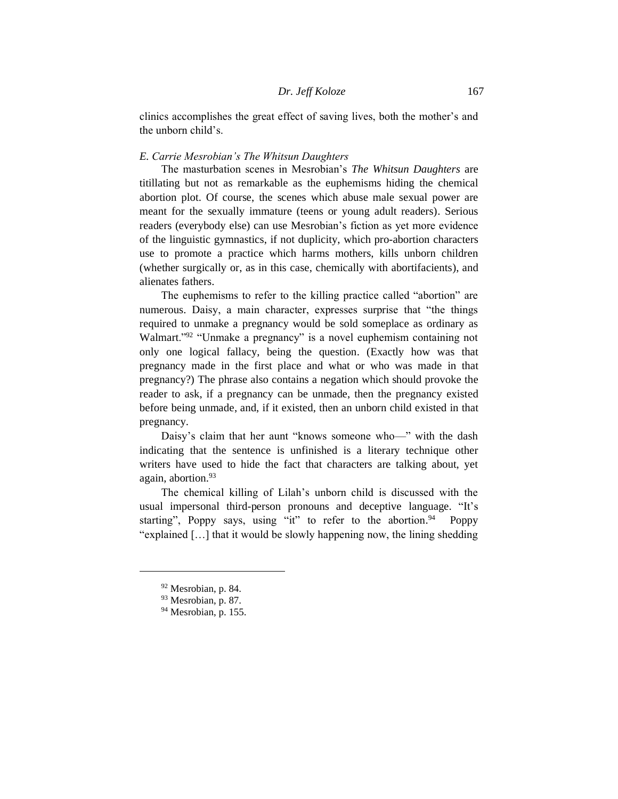clinics accomplishes the great effect of saving lives, both the mother's and the unborn child's.

## *E. Carrie Mesrobian's The Whitsun Daughters*

The masturbation scenes in Mesrobian's *The Whitsun Daughters* are titillating but not as remarkable as the euphemisms hiding the chemical abortion plot. Of course, the scenes which abuse male sexual power are meant for the sexually immature (teens or young adult readers). Serious readers (everybody else) can use Mesrobian's fiction as yet more evidence of the linguistic gymnastics, if not duplicity, which pro-abortion characters use to promote a practice which harms mothers, kills unborn children (whether surgically or, as in this case, chemically with abortifacients), and alienates fathers.

The euphemisms to refer to the killing practice called "abortion" are numerous. Daisy, a main character, expresses surprise that "the things required to unmake a pregnancy would be sold someplace as ordinary as Walmart."<sup>92</sup> "Unmake a pregnancy" is a novel euphemism containing not only one logical fallacy, being the question. (Exactly how was that pregnancy made in the first place and what or who was made in that pregnancy?) The phrase also contains a negation which should provoke the reader to ask, if a pregnancy can be unmade, then the pregnancy existed before being unmade, and, if it existed, then an unborn child existed in that pregnancy.

Daisy's claim that her aunt "knows someone who—" with the dash indicating that the sentence is unfinished is a literary technique other writers have used to hide the fact that characters are talking about, yet again, abortion.<sup>93</sup>

The chemical killing of Lilah's unborn child is discussed with the usual impersonal third-person pronouns and deceptive language. "It's starting", Poppy says, using "it" to refer to the abortion.<sup>94</sup> Poppy "explained […] that it would be slowly happening now, the lining shedding

<sup>92</sup> Mesrobian, p. 84.

<sup>93</sup> Mesrobian, p. 87.

 $94$  Mesrobian, p. 155.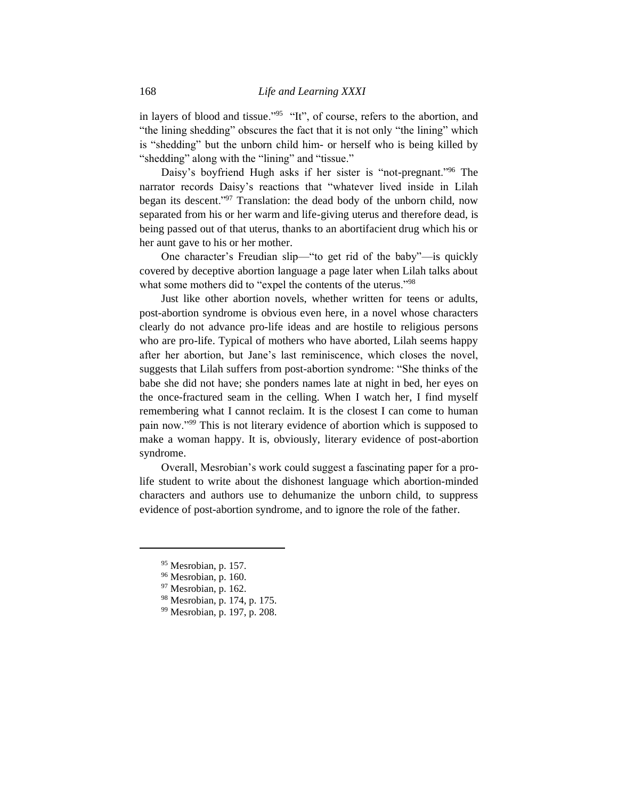in layers of blood and tissue."<sup>95</sup> "It", of course, refers to the abortion, and "the lining shedding" obscures the fact that it is not only "the lining" which is "shedding" but the unborn child him- or herself who is being killed by "shedding" along with the "lining" and "tissue."

Daisy's boyfriend Hugh asks if her sister is "not-pregnant."<sup>96</sup> The narrator records Daisy's reactions that "whatever lived inside in Lilah began its descent."<sup>97</sup> Translation: the dead body of the unborn child, now separated from his or her warm and life-giving uterus and therefore dead, is being passed out of that uterus, thanks to an abortifacient drug which his or her aunt gave to his or her mother.

One character's Freudian slip—"to get rid of the baby"—is quickly covered by deceptive abortion language a page later when Lilah talks about what some mothers did to "expel the contents of the uterus."98

Just like other abortion novels, whether written for teens or adults, post-abortion syndrome is obvious even here, in a novel whose characters clearly do not advance pro-life ideas and are hostile to religious persons who are pro-life. Typical of mothers who have aborted, Lilah seems happy after her abortion, but Jane's last reminiscence, which closes the novel, suggests that Lilah suffers from post-abortion syndrome: "She thinks of the babe she did not have; she ponders names late at night in bed, her eyes on the once-fractured seam in the celling. When I watch her, I find myself remembering what I cannot reclaim. It is the closest I can come to human pain now."*<sup>99</sup>* This is not literary evidence of abortion which is supposed to make a woman happy. It is, obviously, literary evidence of post-abortion syndrome.

Overall, Mesrobian's work could suggest a fascinating paper for a prolife student to write about the dishonest language which abortion-minded characters and authors use to dehumanize the unborn child, to suppress evidence of post-abortion syndrome, and to ignore the role of the father.

<sup>95</sup> Mesrobian, p. 157.

<sup>96</sup> Mesrobian, p. 160.

<sup>97</sup> Mesrobian, p. 162.

<sup>98</sup> Mesrobian, p. 174, p. 175.

<sup>99</sup> Mesrobian, p. 197, p. 208.